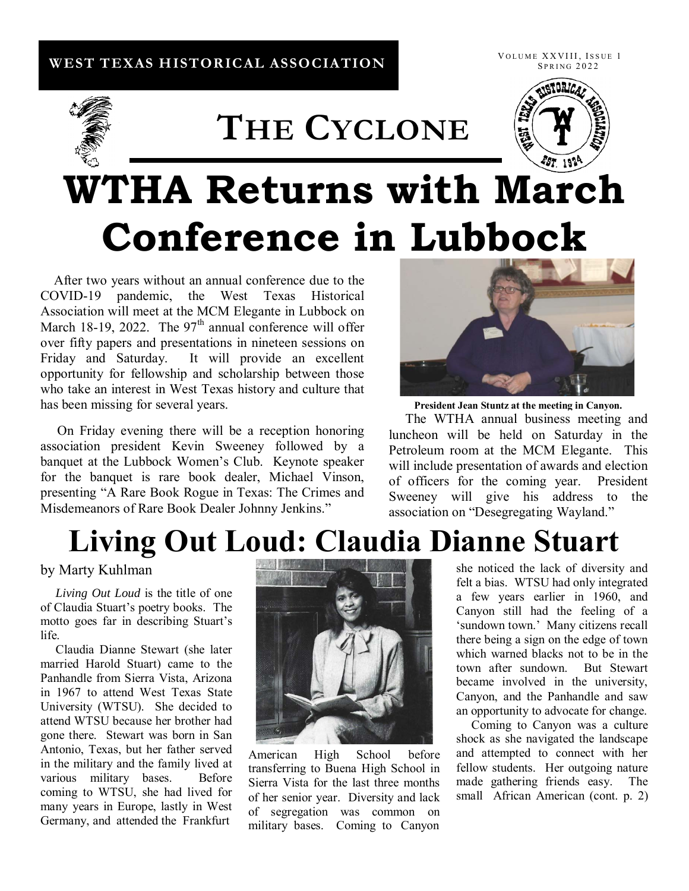## **WEST TEXAS HISTORICAL ASSOCIATION**

VOLUME XXVIII, ISSUE 1 **SPRING 2022** 

# **THE CYCLONE**



# **WTHA Returns with March Conference in Lubbock**

 After two years without an annual conference due to the COVID-19 pandemic, the West Texas Historical Association will meet at the MCM Elegante in Lubbock on March 18-19, 2022. The  $97<sup>th</sup>$  annual conference will offer over fifty papers and presentations in nineteen sessions on Friday and Saturday. It will provide an excellent opportunity for fellowship and scholarship between those who take an interest in West Texas history and culture that has been missing for several years.

 On Friday evening there will be a reception honoring association president Kevin Sweeney followed by a banquet at the Lubbock Women's Club. Keynote speaker for the banquet is rare book dealer, Michael Vinson, presenting "A Rare Book Rogue in Texas: The Crimes and Misdemeanors of Rare Book Dealer Johnny Jenkins."



**President Jean Stuntz at the meeting in Canyon.**

 The WTHA annual business meeting and luncheon will be held on Saturday in the Petroleum room at the MCM Elegante. This will include presentation of awards and election of officers for the coming year. President Sweeney will give his address to the association on "Desegregating Wayland."

## **Living Out Loud: Claudia Dianne Stuart**

by Marty Kuhlman

 *Living Out Loud* is the title of one of Claudia Stuart's poetry books. The motto goes far in describing Stuart's life.

 Claudia Dianne Stewart (she later married Harold Stuart) came to the Panhandle from Sierra Vista, Arizona in 1967 to attend West Texas State University (WTSU). She decided to attend WTSU because her brother had gone there. Stewart was born in San Antonio, Texas, but her father served in the military and the family lived at various military bases. Before coming to WTSU, she had lived for many years in Europe, lastly in West Germany, and attended the Frankfurt



American High School before transferring to Buena High School in Sierra Vista for the last three months of her senior year. Diversity and lack of segregation was common on military bases. Coming to Canyon

she noticed the lack of diversity and felt a bias. WTSU had only integrated a few years earlier in 1960, and Canyon still had the feeling of a 'sundown town.' Many citizens recall there being a sign on the edge of town which warned blacks not to be in the town after sundown. But Stewart became involved in the university, Canyon, and the Panhandle and saw an opportunity to advocate for change.

 Coming to Canyon was a culture shock as she navigated the landscape and attempted to connect with her fellow students. Her outgoing nature made gathering friends easy. The small African American (cont. p. 2)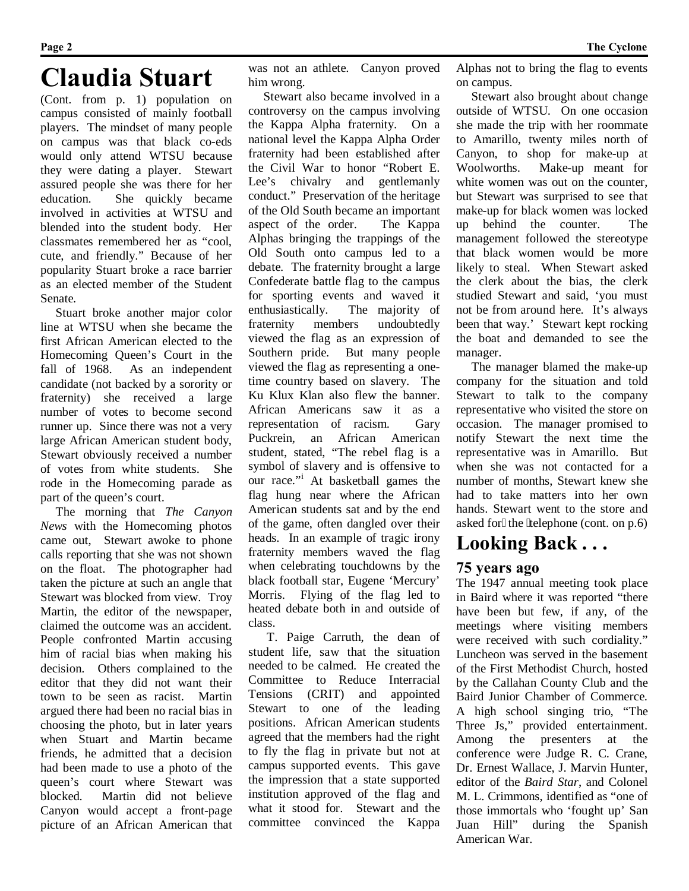## **Claudia Stuart**

(Cont. from p. 1) population on campus consisted of mainly football players. The mindset of many people on campus was that black co-eds would only attend WTSU because they were dating a player. Stewart assured people she was there for her education. She quickly became involved in activities at WTSU and blended into the student body. Her classmates remembered her as "cool, cute, and friendly." Because of her popularity Stuart broke a race barrier as an elected member of the Student Senate.

 Stuart broke another major color line at WTSU when she became the first African American elected to the Homecoming Queen's Court in the fall of 1968. As an independent candidate (not backed by a sorority or fraternity) she received a large number of votes to become second runner up. Since there was not a very large African American student body, Stewart obviously received a number of votes from white students. She rode in the Homecoming parade as part of the queen's court.

 The morning that *The Canyon News* with the Homecoming photos came out, Stewart awoke to phone calls reporting that she was not shown on the float. The photographer had taken the picture at such an angle that Stewart was blocked from view. Troy Martin, the editor of the newspaper, claimed the outcome was an accident. People confronted Martin accusing him of racial bias when making his decision. Others complained to the editor that they did not want their town to be seen as racist. Martin argued there had been no racial bias in choosing the photo, but in later years when Stuart and Martin became friends, he admitted that a decision had been made to use a photo of the queen's court where Stewart was blocked. Martin did not believe Canyon would accept a front-page picture of an African American that

was not an athlete. Canyon proved him wrong.

 Stewart also became involved in a controversy on the campus involving the Kappa Alpha fraternity. On a national level the Kappa Alpha Order fraternity had been established after the Civil War to honor "Robert E. Lee's chivalry and gentlemanly conduct." Preservation of the heritage of the Old South became an important aspect of the order. The Kappa Alphas bringing the trappings of the Old South onto campus led to a debate. The fraternity brought a large Confederate battle flag to the campus for sporting events and waved it enthusiastically. The majority of fraternity members undoubtedly viewed the flag as an expression of Southern pride. But many people viewed the flag as representing a onetime country based on slavery. The Ku Klux Klan also flew the banner. African Americans saw it as a representation of racism. Gary Puckrein, an African American student, stated, "The rebel flag is a symbol of slavery and is offensive to our race."<sup>i</sup> At basketball games the flag hung near where the African American students sat and by the end of the game, often dangled over their heads. In an example of tragic irony fraternity members waved the flag when celebrating touchdowns by the black football star, Eugene 'Mercury' Morris. Flying of the flag led to heated debate both in and outside of class.

 T. Paige Carruth, the dean of student life, saw that the situation needed to be calmed. He created the Committee to Reduce Interracial Tensions (CRIT) and appointed Stewart to one of the leading positions. African American students agreed that the members had the right to fly the flag in private but not at campus supported events. This gave the impression that a state supported institution approved of the flag and what it stood for. Stewart and the committee convinced the Kappa

Alphas not to bring the flag to events on campus.

 Stewart also brought about change outside of WTSU. On one occasion she made the trip with her roommate to Amarillo, twenty miles north of Canyon, to shop for make-up at Woolworths. Make-up meant for white women was out on the counter. but Stewart was surprised to see that make-up for black women was locked up behind the counter. The management followed the stereotype that black women would be more likely to steal. When Stewart asked the clerk about the bias, the clerk studied Stewart and said, 'you must not be from around here. It's always been that way.' Stewart kept rocking the boat and demanded to see the manager.

 The manager blamed the make-up company for the situation and told Stewart to talk to the company representative who visited the store on occasion. The manager promised to notify Stewart the next time the representative was in Amarillo. But when she was not contacted for a number of months, Stewart knew she had to take matters into her own hands. Stewart went to the store and asked for" the 'telephone (cont. on p.6)

## **Looking Back . . .**

### **75 years ago**

The 1947 annual meeting took place in Baird where it was reported "there have been but few, if any, of the meetings where visiting members were received with such cordiality." Luncheon was served in the basement of the First Methodist Church, hosted by the Callahan County Club and the Baird Junior Chamber of Commerce. A high school singing trio, "The Three Js," provided entertainment. Among the presenters at the conference were Judge R. C. Crane, Dr. Ernest Wallace, J. Marvin Hunter, editor of the *Baird Star*, and Colonel M. L. Crimmons, identified as "one of those immortals who 'fought up' San Juan Hill" during the Spanish American War.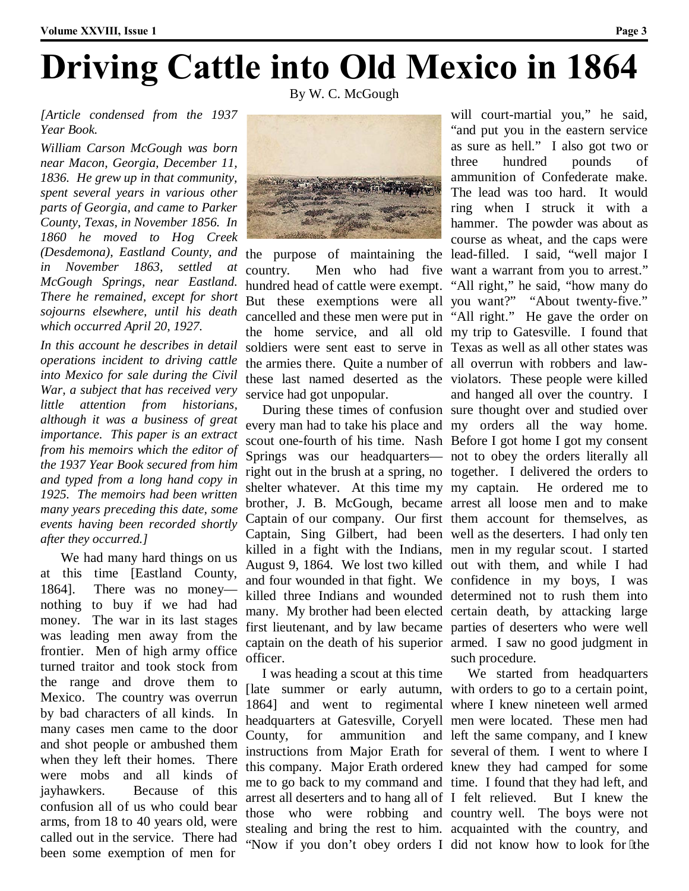# **Driving Cattle into Old Mexico in 1864**

By W. C. McGough

#### *[Article condensed from the 1937 Year Book.*

*William Carson McGough was born near Macon, Georgia, December 11, 1836. He grew up in that community, spent several years in various other parts of Georgia, and came to Parker County, Texas, in November 1856. In 1860 he moved to Hog Creek (Desdemona), Eastland County, and in November 1863, settled at McGough Springs, near Eastland. There he remained, except for short sojourns elsewhere, until his death which occurred April 20, 1927.* 

*In this account he describes in detail operations incident to driving cattle into Mexico for sale during the Civil War, a subject that has received very little attention from historians, although it was a business of great importance. This paper is an extract from his memoirs which the editor of the 1937 Year Book secured from him and typed from a long hand copy in 1925. The memoirs had been written many years preceding this date, some events having been recorded shortly after they occurred.]* 

 We had many hard things on us at this time [Eastland County, 1864]. There was no money nothing to buy if we had had money. The war in its last stages was leading men away from the frontier. Men of high army office turned traitor and took stock from the range and drove them to Mexico. The country was overrun by bad characters of all kinds. In many cases men came to the door and shot people or ambushed them when they left their homes. There were mobs and all kinds of jayhawkers. Because of this confusion all of us who could bear arms, from 18 to 40 years old, were called out in the service. There had been some exemption of men for



the purpose of maintaining the lead-filled. I said, "well major I country. Men who had five want a warrant from you to arrest." hundred head of cattle were exempt. "All right," he said, "how many do But these exemptions were all you want?" "About twenty-five." cancelled and these men were put in "All right." He gave the order on the home service, and all old my trip to Gatesville. I found that soldiers were sent east to serve in Texas as well as all other states was the armies there. Quite a number of all overrun with robbers and lawthese last named deserted as the violators. These people were killed service had got unpopular.

 During these times of confusion sure thought over and studied over every man had to take his place and my orders all the way home. scout one-fourth of his time. Nash Before I got home I got my consent Springs was our headquarters— not to obey the orders literally all right out in the brush at a spring, no together. I delivered the orders to shelter whatever. At this time my my captain. brother, J. B. McGough, became arrest all loose men and to make Captain of our company. Our first them account for themselves, as Captain, Sing Gilbert, had been well as the deserters. I had only ten killed in a fight with the Indians, men in my regular scout. I started August 9, 1864. We lost two killed out with them, and while I had and four wounded in that fight. We confidence in my boys, I was killed three Indians and wounded determined not to rush them into many. My brother had been elected certain death, by attacking large first lieutenant, and by law became parties of deserters who were well captain on the death of his superior armed. I saw no good judgment in officer.

 I was heading a scout at this time [late summer or early autumn, with orders to go to a certain point, 1864] and went to regimental where I knew nineteen well armed headquarters at Gatesville, Coryell men were located. These men had County, for ammunition instructions from Major Erath for several of them. I went to where I this company. Major Erath ordered knew they had camped for some me to go back to my command and time. I found that they had left, and arrest all deserters and to hang all of I felt relieved. those who were robbing and country well. The boys were not stealing and bring the rest to him. acquainted with the country, and "Now if you don't obey orders I did not know how to look for "the

will court-martial you," he said, "and put you in the eastern service as sure as hell." I also got two or three hundred pounds of ammunition of Confederate make. The lead was too hard. It would ring when I struck it with a hammer. The powder was about as course as wheat, and the caps were and hanged all over the country. I He ordered me to such procedure.

 We started from headquarters and left the same company, and I knew But I knew the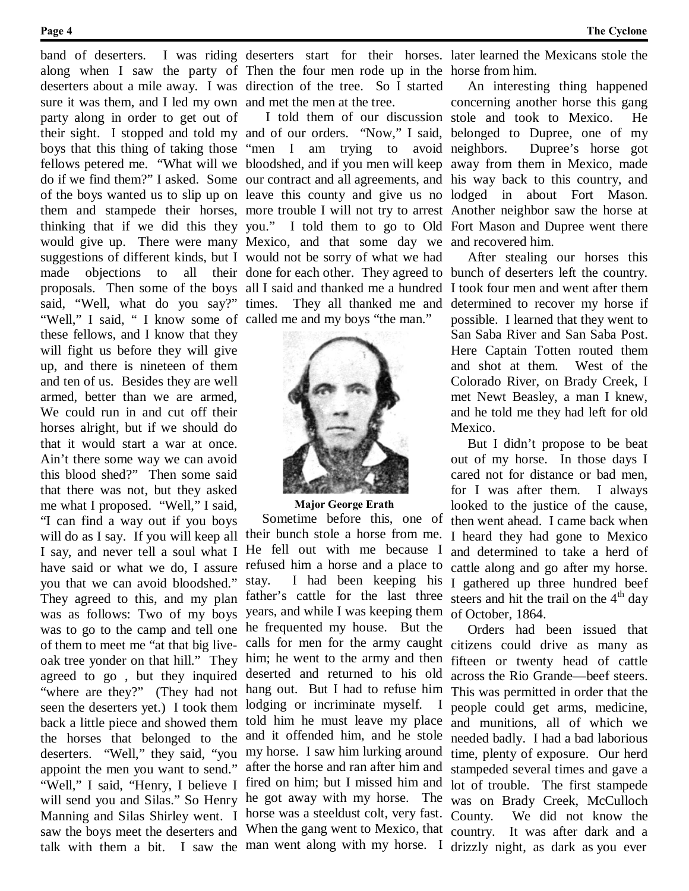band of deserters. sure it was them, and I led my own and met the men at the tree. party along in order to get out of "Well," I said, " I know some of called me and my boys "the man."

these fellows, and I know that they will fight us before they will give up, and there is nineteen of them and ten of us. Besides they are well armed, better than we are armed, We could run in and cut off their horses alright, but if we should do that it would start a war at once. Ain't there some way we can avoid this blood shed?" Then some said that there was not, but they asked me what I proposed. "Well," I said, "I can find a way out if you boys will do as I say. If you will keep all their bunch stole a horse from me. I say, and never tell a soul what I have said or what we do, I assure you that we can avoid bloodshed." They agreed to this, and my plan was as follows: Two of my boys was to go to the camp and tell one of them to meet me "at that big liveoak tree yonder on that hill." They agreed to go , but they inquired "where are they?" (They had not seen the deserters yet.) I took them back a little piece and showed them the horses that belonged to the deserters. "Well," they said, "you appoint the men you want to send." "Well," I said, "Henry, I believe I will send you and Silas." So Henry Manning and Silas Shirley went. I horse was a steeldust colt, very fast. saw the boys meet the deserters and When the gang went to Mexico, that country. It was after dark and a talk with them a bit. I saw the man went along with my horse. I drizzly night, as dark as you ever

along when I saw the party of Then the four men rode up in the horse from him. deserters about a mile away. I was direction of the tree. So I started

their sight. I stopped and told my and of our orders. "Now," I said, belonged to Dupree, one of my boys that this thing of taking those "men I am trying to avoid fellows petered me. "What will we bloodshed, and if you men will keep away from them in Mexico, made do if we find them?" I asked. Some our contract and all agreements, and his way back to this country, and of the boys wanted us to slip up on leave this county and give us no lodged in about Fort Mason. them and stampede their horses, more trouble I will not try to arrest Another neighbor saw the horse at thinking that if we did this they you." I told them to go to Old Fort Mason and Dupree went there would give up. There were many Mexico, and that some day we and recovered him. suggestions of different kinds, but I would not be sorry of what we had made objections to all their done for each other. They agreed to bunch of deserters left the country. proposals. Then some of the boys all I said and thanked me a hundred I took four men and went after them said, "Well, what do you say?" times. They all thanked me and determined to recover my horse if I told them of our discussion stole and took to Mexico. He



**Major George Erath** Sometime before this, one of He fell out with me because I refused him a horse and a place to stay. I had been keeping his father's cattle for the last three years, and while I was keeping them of October, 1864. he frequented my house. But the deserted and returned to his old hang out. But I had to refuse him lodging or incriminate myself. I told him he must leave my place and it offended him, and he stole my horse. I saw him lurking around after the horse and ran after him and fired on him; but I missed him and he got away with my horse. The

deserters start for their horses. later learned the Mexicans stole the

 An interesting thing happened concerning another horse this gang Dupree's horse got

 After stealing our horses this possible. I learned that they went to San Saba River and San Saba Post. Here Captain Totten routed them and shot at them. West of the Colorado River, on Brady Creek, I met Newt Beasley, a man I knew, and he told me they had left for old Mexico.

 But I didn't propose to be beat out of my horse. In those days I cared not for distance or bad men, for I was after them. I always looked to the justice of the cause, then went ahead. I came back when I heard they had gone to Mexico and determined to take a herd of cattle along and go after my horse. I gathered up three hundred beef steers and hit the trail on the  $4<sup>th</sup>$  day

calls for men for the army caught citizens could drive as many as him; he went to the army and then fifteen or twenty head of cattle Orders had been issued that across the Rio Grande—beef steers. This was permitted in order that the people could get arms, medicine, and munitions, all of which we needed badly. I had a bad laborious time, plenty of exposure. Our herd stampeded several times and gave a lot of trouble. The first stampede was on Brady Creek, McCulloch County. We did not know the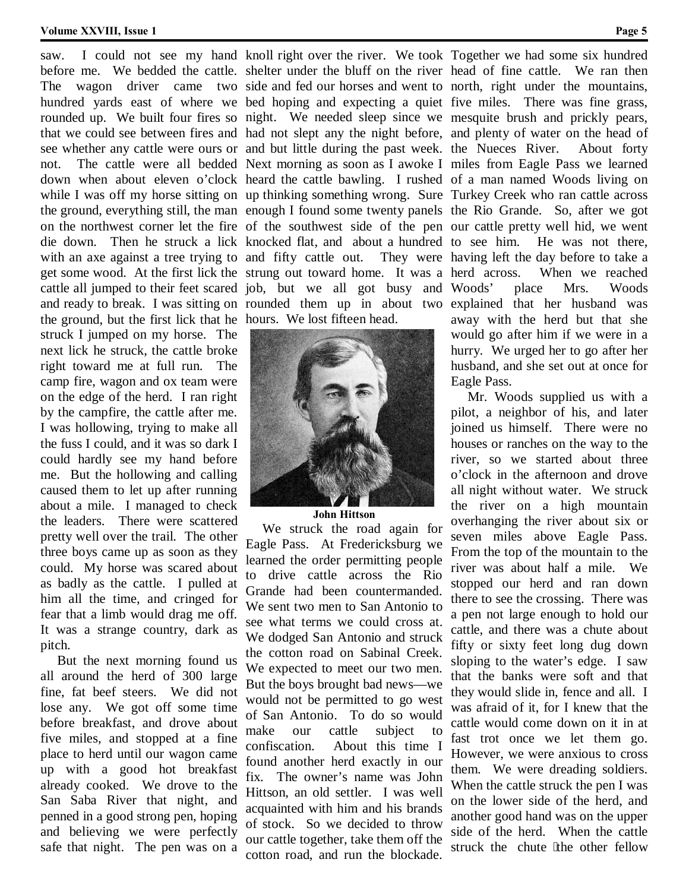#### **Volume XXVIII, Issue 1 Page 5**

the ground, but the first lick that he hours. We lost fifteen head. struck I jumped on my horse. The next lick he struck, the cattle broke right toward me at full run. The camp fire, wagon and ox team were on the edge of the herd. I ran right by the campfire, the cattle after me. I was hollowing, trying to make all the fuss I could, and it was so dark I could hardly see my hand before me. But the hollowing and calling caused them to let up after running about a mile. I managed to check the leaders. There were scattered pretty well over the trail. The other three boys came up as soon as they could. My horse was scared about as badly as the cattle. I pulled at him all the time, and cringed for fear that a limb would drag me off. It was a strange country, dark as pitch.

 But the next morning found us all around the herd of 300 large fine, fat beef steers. We did not lose any. We got off some time before breakfast, and drove about five miles, and stopped at a fine place to herd until our wagon came up with a good hot breakfast already cooked. We drove to the San Saba River that night, and penned in a good strong pen, hoping and believing we were perfectly safe that night. The pen was on a

before me. We bedded the cattle. shelter under the bluff on the river head of fine cattle. We ran then The wagon driver came two side and fed our horses and went to north, right under the mountains, hundred yards east of where we bed hoping and expecting a quiet five miles. There was fine grass, rounded up. We built four fires so night. We needed sleep since we mesquite brush and prickly pears, that we could see between fires and had not slept any the night before, and plenty of water on the head of see whether any cattle were ours or and but little during the past week. the Nueces River. About forty not. The cattle were all bedded Next morning as soon as I awoke I miles from Eagle Pass we learned down when about eleven o'clock heard the cattle bawling. I rushed of a man named Woods living on while I was off my horse sitting on up thinking something wrong. Sure Turkey Creek who ran cattle across the ground, everything still, the man enough I found some twenty panels the Rio Grande. So, after we got on the northwest corner let the fire of the southwest side of the pen our cattle pretty well hid, we went die down. Then he struck a lick knocked flat, and about a hundred with an axe against a tree trying to and fifty cattle out. They were get some wood. At the first lick the strung out toward home. It was a cattle all jumped to their feet scared job, but we all got busy and Woods' place Mrs. Woods and ready to break. I was sitting on rounded them up in about two explained that her husband was



**John Hittson**

 We struck the road again for Eagle Pass. At Fredericksburg we learned the order permitting people to drive cattle across the Rio Grande had been countermanded. We sent two men to San Antonio to see what terms we could cross at. We dodged San Antonio and struck the cotton road on Sabinal Creek. We expected to meet our two men. But the boys brought bad news—we would not be permitted to go west of San Antonio. To do so would make our cattle subject to confiscation. About this time I found another herd exactly in our fix. The owner's name was John Hittson, an old settler. I was well acquainted with him and his brands of stock. So we decided to throw our cattle together, take them off the cotton road, and run the blockade.

saw. I could not see my hand knoll right over the river. We took Together we had some six hundred He was not there, They were having left the day before to take a When we reached away with the herd but that she would go after him if we were in a hurry. We urged her to go after her husband, and she set out at once for Eagle Pass.

> Mr. Woods supplied us with a pilot, a neighbor of his, and later joined us himself. There were no houses or ranches on the way to the river, so we started about three o'clock in the afternoon and drove all night without water. We struck the river on a high mountain overhanging the river about six or seven miles above Eagle Pass. From the top of the mountain to the river was about half a mile. We stopped our herd and ran down there to see the crossing. There was a pen not large enough to hold our cattle, and there was a chute about fifty or sixty feet long dug down sloping to the water's edge. I saw that the banks were soft and that they would slide in, fence and all. I was afraid of it, for I knew that the cattle would come down on it in at fast trot once we let them go. However, we were anxious to cross them. We were dreading soldiers. When the cattle struck the pen I was on the lower side of the herd, and another good hand was on the upper side of the herd. When the cattle struck the chute 'the other fellow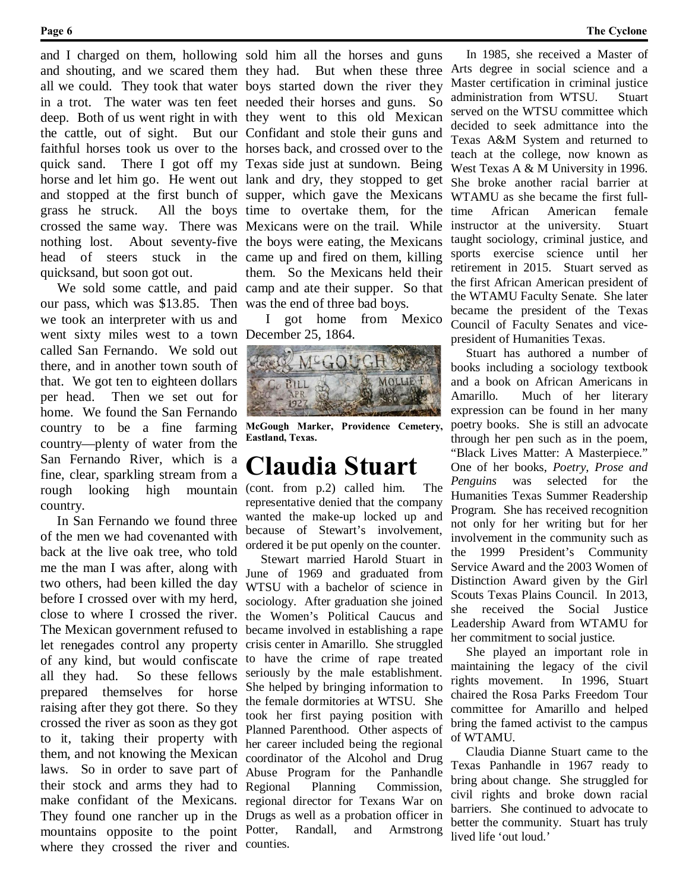and shouting, and we scared them they had. grass he struck. quicksand, but soon got out.

our pass, which was \$13.85. Then was the end of three bad boys. we took an interpreter with us and went sixty miles west to a town called San Fernando. We sold out there, and in another town south of that. We got ten to eighteen dollars per head. Then we set out for home. We found the San Fernando country to be a fine farming country—plenty of water from the San Fernando River, which is a fine, clear, sparkling stream from a rough looking high mountain country.

 In San Fernando we found three of the men we had covenanted with back at the live oak tree, who told me the man I was after, along with two others, had been killed the day before I crossed over with my herd, close to where I crossed the river. The Mexican government refused to let renegades control any property of any kind, but would confiscate all they had. So these fellows prepared themselves for horse raising after they got there. So they crossed the river as soon as they got to it, taking their property with them, and not knowing the Mexican laws. So in order to save part of their stock and arms they had to make confidant of the Mexicans. They found one rancher up in the Drugs as well as a probation officer in mountains opposite to the point where they crossed the river and

and I charged on them, hollowing sold him all the horses and guns all we could. They took that water boys started down the river they in a trot. The water was ten feet needed their horses and guns. So deep. Both of us went right in with they went to this old Mexican the cattle, out of sight. But our Confidant and stole their guns and faithful horses took us over to the horses back, and crossed over to the quick sand. There I got off my Texas side just at sundown. Being horse and let him go. He went out lank and dry, they stopped to get and stopped at the first bunch of supper, which gave the Mexicans crossed the same way. There was Mexicans were on the trail. While nothing lost. About seventy-five the boys were eating, the Mexicans head of steers stuck in the came up and fired on them, killing We sold some cattle, and paid camp and ate their supper. So that But when these three All the boys time to overtake them, for the them. So the Mexicans held their

> I got home from Mexico December 25, 1864.



**McGough Marker, Providence Cemetery, Eastland, Texas.**

## **Claudia Stuart**

(cont. from p.2) called him. The representative denied that the company wanted the make-up locked up and because of Stewart's involvement, ordered it be put openly on the counter.

 Stewart married Harold Stuart in June of 1969 and graduated from WTSU with a bachelor of science in sociology. After graduation she joined the Women's Political Caucus and became involved in establishing a rape crisis center in Amarillo. She struggled to have the crime of rape treated seriously by the male establishment. She helped by bringing information to the female dormitories at WTSU. She took her first paying position with Planned Parenthood. Other aspects of her career included being the regional coordinator of the Alcohol and Drug Abuse Program for the Panhandle Regional Planning Commission, regional director for Texans War on Potter, Randall, and Armstrong counties.

 In 1985, she received a Master of Arts degree in social science and a Master certification in criminal justice administration from WTSU. Stuart served on the WTSU committee which decided to seek admittance into the Texas A&M System and returned to teach at the college, now known as West Texas A & M University in 1996. She broke another racial barrier at WTAMU as she became the first fulltime African American female instructor at the university. Stuart taught sociology, criminal justice, and sports exercise science until her retirement in 2015. Stuart served as the first African American president of the WTAMU Faculty Senate. She later became the president of the Texas Council of Faculty Senates and vicepresident of Humanities Texas.

 Stuart has authored a number of books including a sociology textbook and a book on African Americans in Amarillo. Much of her literary expression can be found in her many poetry books. She is still an advocate through her pen such as in the poem, "Black Lives Matter: A Masterpiece." One of her books, *Poetry, Prose and Penguins* was selected for the Humanities Texas Summer Readership Program. She has received recognition not only for her writing but for her involvement in the community such as the 1999 President's Community Service Award and the 2003 Women of Distinction Award given by the Girl Scouts Texas Plains Council. In 2013, she received the Social Justice Leadership Award from WTAMU for her commitment to social justice.

 She played an important role in maintaining the legacy of the civil rights movement. In 1996, Stuart chaired the Rosa Parks Freedom Tour committee for Amarillo and helped bring the famed activist to the campus of WTAMU.

 Claudia Dianne Stuart came to the Texas Panhandle in 1967 ready to bring about change. She struggled for civil rights and broke down racial barriers. She continued to advocate to better the community. Stuart has truly lived life 'out loud.'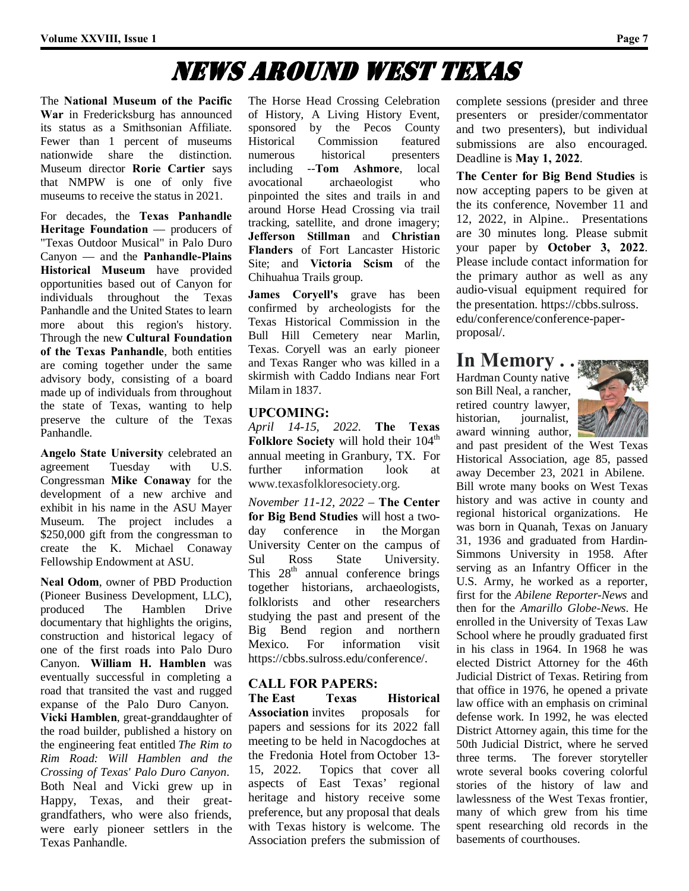## News Around West Texas

The **National Museum of the Pacific War** in Fredericksburg has announced its status as a Smithsonian Affiliate. Fewer than 1 percent of museums nationwide share the distinction. Museum director **Rorie Cartier** says that NMPW is one of only five museums to receive the status in 2021.

For decades, the **Texas Panhandle Heritage Foundation** — producers of "Texas Outdoor Musical" in Palo Duro Canyon — and the **Panhandle-Plains Historical Museum** have provided opportunities based out of Canyon for individuals throughout the Texas Panhandle and the United States to learn more about this region's history. Through the new **Cultural Foundation of the Texas Panhandle**, both entities are coming together under the same advisory body, consisting of a board made up of individuals from throughout the state of Texas, wanting to help preserve the culture of the Texas Panhandle.

**Angelo State University** celebrated an agreement Tuesday with U.S. Congressman **Mike Conaway** for the development of a new archive and exhibit in his name in the ASU Mayer Museum. The project includes a \$250,000 gift from the congressman to create the K. Michael Conaway Fellowship Endowment at ASU.

**Neal Odom**, owner of PBD Production (Pioneer Business Development, LLC), produced The Hamblen Drive documentary that highlights the origins, construction and historical legacy of one of the first roads into Palo Duro Canyon. **William H. Hamblen** was eventually successful in completing a road that transited the vast and rugged expanse of the Palo Duro Canyon. **Vicki Hamblen**, great-granddaughter of the road builder, published a history on the engineering feat entitled *The Rim to Rim Road: Will Hamblen and the Crossing of Texas' Palo Duro Canyon*. Both Neal and Vicki grew up in Happy, Texas, and their greatgrandfathers, who were also friends, were early pioneer settlers in the Texas Panhandle.

The Horse Head Crossing Celebration of History, A Living History Event, sponsored by the Pecos County Historical Commission featured numerous historical presenters including --**Tom Ashmore**, local avocational archaeologist who pinpointed the sites and trails in and around Horse Head Crossing via trail tracking, satellite, and drone imagery; **Jefferson Stillman** and **Christian Flanders** of Fort Lancaster Historic Site; and **Victoria Scism** of the Chihuahua Trails group.

**James Coryell's** grave has been confirmed by archeologists for the Texas Historical Commission in the Bull Hill Cemetery near Marlin, Texas. Coryell was an early pioneer and Texas Ranger who was killed in a skirmish with Caddo Indians near Fort Milam in 1837.

#### **UPCOMING:**

*April 14-15, 2022*. **The Texas Folklore Society** will hold their 104<sup>th</sup> annual meeting in Granbury, TX. For further information look at www.texasfolkloresociety.org.

*November 11-12, 2022* – **The Center for Big Bend Studies** will host a twoday conference in the Morgan University Center on the campus of Sul Ross State University. This  $28<sup>th</sup>$  annual conference brings together historians, archaeologists, folklorists and other researchers studying the past and present of the Big Bend region and northern Mexico. For information visit https://cbbs.sulross.edu/conference/.

### **CALL FOR PAPERS:**

**The East Texas Historical Association** invites proposals for papers and sessions for its 2022 fall meeting to be held in Nacogdoches at the Fredonia Hotel from October 13- 15, 2022. Topics that cover all aspects of East Texas' regional heritage and history receive some preference, but any proposal that deals with Texas history is welcome. The Association prefers the submission of

complete sessions (presider and three presenters or presider/commentator and two presenters), but individual submissions are also encouraged. Deadline is **May 1, 2022**.

**The Center for Big Bend Studies** is now accepting papers to be given at the its conference, November 11 and 12, 2022, in Alpine.. Presentations are 30 minutes long. Please submit your paper by **October 3, 2022**. Please include contact information for the primary author as well as any audio-visual equipment required for the presentation. https://cbbs.sulross. edu/conference/conference-paperproposal/.

## **In Memory** . .

Hardman County native son Bill Neal, a rancher, retired country lawyer, historian, journalist, award winning author,



and past president of the West Texas Historical Association, age 85, passed away December 23, 2021 in Abilene. Bill wrote many books on West Texas history and was active in county and regional historical organizations. He was born in Quanah, Texas on January 31, 1936 and graduated from Hardin-Simmons University in 1958. After serving as an Infantry Officer in the U.S. Army, he worked as a reporter, first for the *Abilene Reporter-News* and then for the *Amarillo Globe-News*. He enrolled in the University of Texas Law School where he proudly graduated first in his class in 1964. In 1968 he was elected District Attorney for the 46th Judicial District of Texas. Retiring from that office in 1976, he opened a private law office with an emphasis on criminal defense work. In 1992, he was elected District Attorney again, this time for the 50th Judicial District, where he served three terms. The forever storyteller wrote several books covering colorful stories of the history of law and lawlessness of the West Texas frontier, many of which grew from his time spent researching old records in the basements of courthouses.